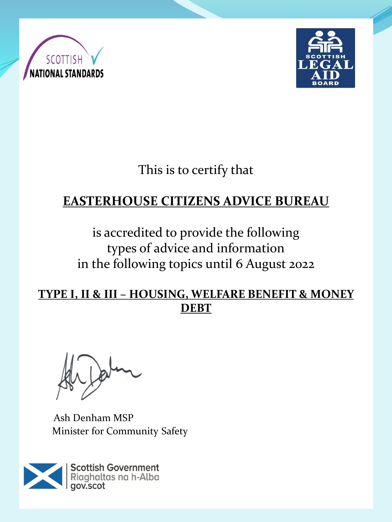



This is to certify that

# **EASTERHOUSE CITIZENS ADVICE BUREAU**

is accredited to provide the following types of advice and information in the following topics until 6 August 2022

**TYPE I, II & III – HOUSING, WELFARE BENEFIT & MONEY DEBT**

Ash Denham MSP Minister for Community Safety

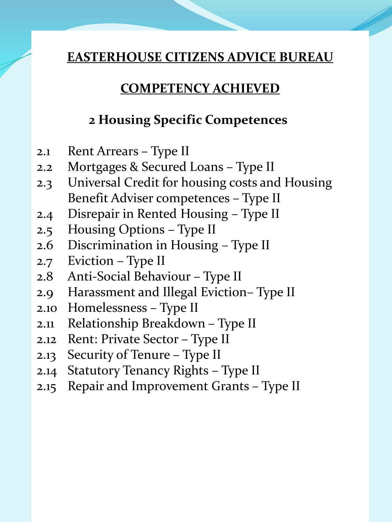#### **COMPETENCY ACHIEVED**

### **2 Housing Specific Competences**

- 2.1 Rent Arrears Type II
- 2.2 Mortgages & Secured Loans Type II
- 2.3 Universal Credit for housing costs and Housing Benefit Adviser competences – Type II
- 2.4 Disrepair in Rented Housing Type II
- 2.5 Housing Options Type II
- 2.6 Discrimination in Housing Type II
- 2.7 Eviction Type II
- 2.8 Anti-Social Behaviour Type II
- 2.9 Harassment and Illegal Eviction– Type II
- 2.10 Homelessness Type II
- 2.11 Relationship Breakdown Type II
- 2.12 Rent: Private Sector Type II
- 2.13 Security of Tenure Type II
- 2.14 Statutory Tenancy Rights Type II
- 2.15 Repair and Improvement Grants Type II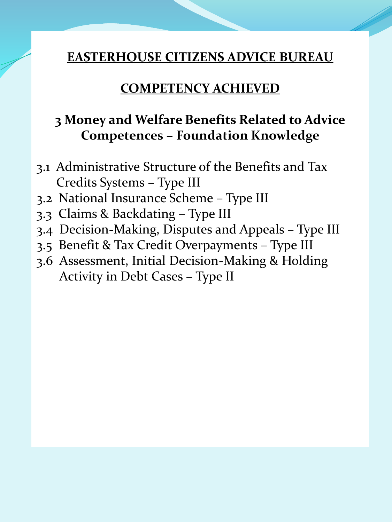#### **COMPETENCY ACHIEVED**

## **3 Money and Welfare Benefits Related to Advice Competences – Foundation Knowledge**

- 3.1 Administrative Structure of the Benefits and Tax Credits Systems – Type III
- 3.2 National Insurance Scheme Type III
- 3.3 Claims & Backdating Type III
- 3.4 Decision-Making, Disputes and Appeals Type III
- 3.5 Benefit & Tax Credit Overpayments Type III
- 3.6 Assessment, Initial Decision-Making & Holding Activity in Debt Cases – Type II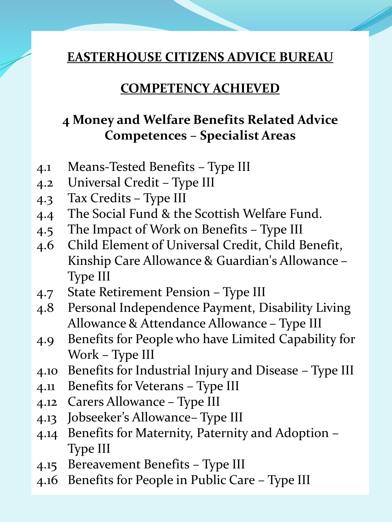#### **COMPETENCY ACHIEVED**

### **4 Money and Welfare Benefits Related Advice Competences – Specialist Areas**

- 4.1 Means-Tested Benefits Type III
- 4.2 Universal Credit Type III
- 4.3 Tax Credits Type III
- 4.4 The Social Fund & the Scottish Welfare Fund.
- 4.5 The Impact of Work on Benefits Type III
- 4.6 Child Element of Universal Credit, Child Benefit, Kinship Care Allowance & Guardian's Allowance – Type III
- 4.7 State Retirement Pension Type III
- 4.8 Personal Independence Payment, Disability Living Allowance & Attendance Allowance – Type III
- 4.9 Benefits for People who have Limited Capability for Work – Type III
- 4.10 Benefits for Industrial Injury and Disease Type III
- 4.11 Benefits for Veterans Type III
- 4.12 Carers Allowance Type III
- 4.13 Jobseeker's Allowance– Type III
- 4.14 Benefits for Maternity, Paternity and Adoption Type III
- 4.15 Bereavement Benefits Type III
- 4.16 Benefits for People in Public Care Type III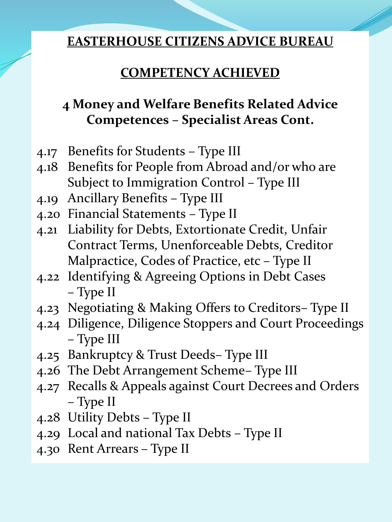## **COMPETENCY ACHIEVED**

# **4 Money and Welfare Benefits Related Advice Competences – Specialist Areas Cont.**

- 4.17 Benefits for Students Type III
- 4.18 Benefits for People from Abroad and/or who are Subject to Immigration Control – Type III
- 4.19 Ancillary Benefits Type III
- 4.20 Financial Statements Type II
- 4.21 Liability for Debts, Extortionate Credit, Unfair Contract Terms, Unenforceable Debts, Creditor Malpractice, Codes of Practice, etc – Type II
- 4.22 Identifying & Agreeing Options in Debt Cases – Type II
- 4.23 Negotiating & Making Offers to Creditors– Type II
- 4.24 Diligence, Diligence Stoppers and Court Proceedings – Type III
- 4.25 Bankruptcy & Trust Deeds– Type III
- 4.26 The Debt Arrangement Scheme– Type III
- 4.27 Recalls & Appeals against Court Decrees and Orders – Type II
- 4.28 Utility Debts Type II
- 4.29 Local and national Tax Debts Type II
- 4.30 Rent Arrears Type II